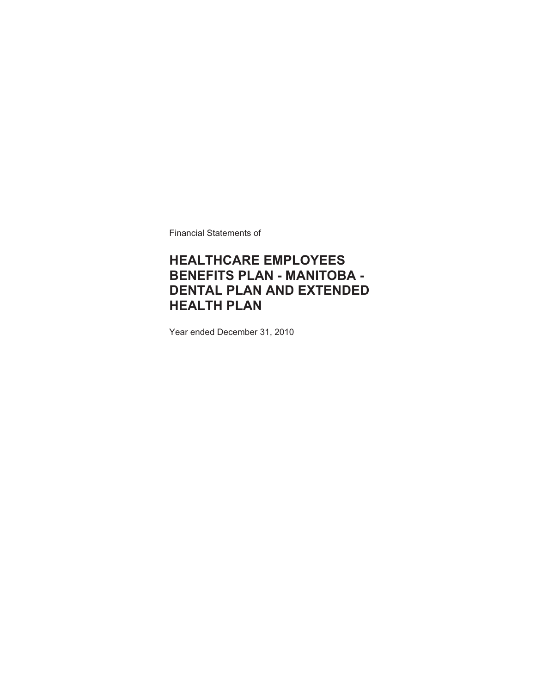Financial Statements of

### **HEALTHCARE EMPLOYEES BENEFITS PLAN - MANITOBA - DENTAL PLAN AND EXTENDED HEALTH PLAN**

Year ended December 31, 2010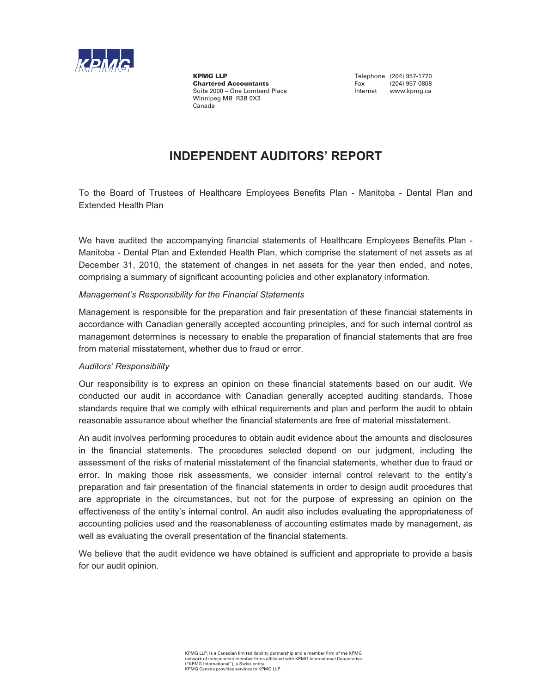

**KPMG LLP**<br> **Chartered Accountants**<br> **Chartered Accountants**<br>
Tax (204) 957-0808 **Chartered Accountants**<br>Suite 2000 - One Lombard Place Winnipeg MB R3B 0X3 Canada

Internet www.kpmg.ca

### **INDEPENDENT AUDITORS' REPORT**

To the Board of Trustees of Healthcare Employees Benefits Plan - Manitoba - Dental Plan and Extended Health Plan

We have audited the accompanying financial statements of Healthcare Employees Benefits Plan - Manitoba - Dental Plan and Extended Health Plan, which comprise the statement of net assets as at December 31, 2010, the statement of changes in net assets for the year then ended, and notes, comprising a summary of significant accounting policies and other explanatory information.

#### *Management's Responsibility for the Financial Statements*

Management is responsible for the preparation and fair presentation of these financial statements in accordance with Canadian generally accepted accounting principles, and for such internal control as management determines is necessary to enable the preparation of financial statements that are free from material misstatement, whether due to fraud or error.

#### *Auditors' Responsibility*

Our responsibility is to express an opinion on these financial statements based on our audit. We conducted our audit in accordance with Canadian generally accepted auditing standards. Those standards require that we comply with ethical requirements and plan and perform the audit to obtain reasonable assurance about whether the financial statements are free of material misstatement.

An audit involves performing procedures to obtain audit evidence about the amounts and disclosures in the financial statements. The procedures selected depend on our judgment, including the assessment of the risks of material misstatement of the financial statements, whether due to fraud or error. In making those risk assessments, we consider internal control relevant to the entity's preparation and fair presentation of the financial statements in order to design audit procedures that are appropriate in the circumstances, but not for the purpose of expressing an opinion on the effectiveness of the entity's internal control. An audit also includes evaluating the appropriateness of accounting policies used and the reasonableness of accounting estimates made by management, as well as evaluating the overall presentation of the financial statements.

We believe that the audit evidence we have obtained is sufficient and appropriate to provide a basis for our audit opinion.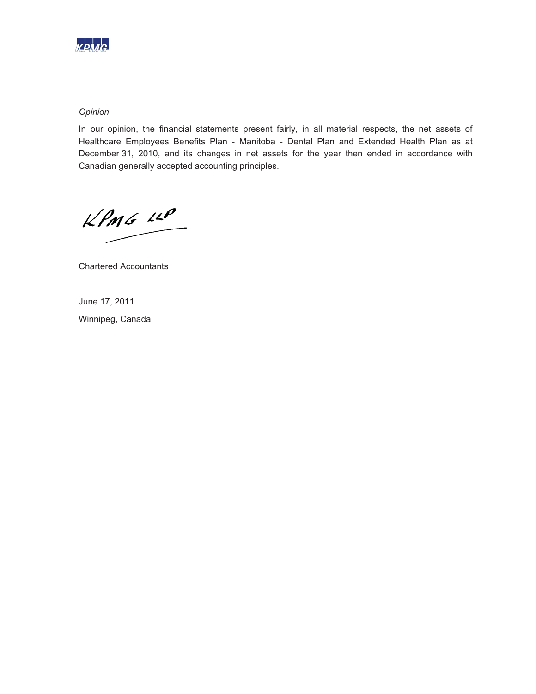

#### *Opinion*

In our opinion, the financial statements present fairly, in all material respects, the net assets of Healthcare Employees Benefits Plan - Manitoba - Dental Plan and Extended Health Plan as at December 31, 2010, and its changes in net assets for the year then ended in accordance with Canadian generally accepted accounting principles.

 $KPMG$  14 $P$ 

Chartered Accountants

June 17, 2011 Winnipeg, Canada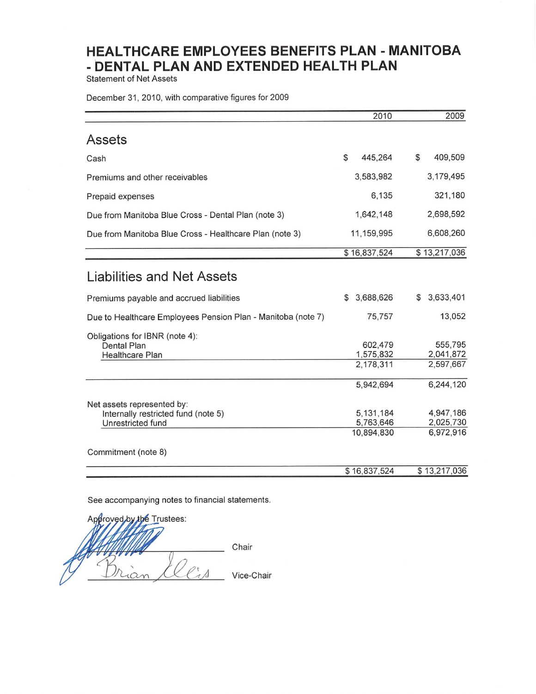**Statement of Net Assets** 

December 31, 2010, with comparative figures for 2009

|                                                                                        | 2010                                 | 2009                                |
|----------------------------------------------------------------------------------------|--------------------------------------|-------------------------------------|
| Assets                                                                                 |                                      |                                     |
| Cash                                                                                   | \$<br>445,264                        | 409,509<br>\$                       |
| Premiums and other receivables                                                         | 3,583,982                            | 3,179,495                           |
| Prepaid expenses                                                                       | 6,135                                | 321,180                             |
| Due from Manitoba Blue Cross - Dental Plan (note 3)                                    | 1,642,148                            | 2,698,592                           |
| Due from Manitoba Blue Cross - Healthcare Plan (note 3)                                | 11,159,995                           | 6,608,260                           |
|                                                                                        | \$16,837,524                         | \$13,217,036                        |
| <b>Liabilities and Net Assets</b>                                                      |                                      |                                     |
| Premiums payable and accrued liabilities                                               | 3,688,626<br>\$                      | 3,633,401<br>S                      |
| Due to Healthcare Employees Pension Plan - Manitoba (note 7)                           | 75,757                               | 13,052                              |
| Obligations for IBNR (note 4):<br>Dental Plan<br>Healthcare Plan                       | 602,479<br>1,575,832<br>2,178,311    | 555,795<br>2,041,872<br>2,597,667   |
|                                                                                        | 5,942,694                            | 6,244,120                           |
| Net assets represented by:<br>Internally restricted fund (note 5)<br>Unrestricted fund | 5,131,184<br>5,763,646<br>10,894,830 | 4,947,186<br>2,025,730<br>6,972,916 |
| Commitment (note 8)                                                                    |                                      |                                     |
|                                                                                        | \$16,837,524                         | \$13,217,036                        |

See accompanying notes to financial statements.

Approved by the Trustees: Chair Vice-Chair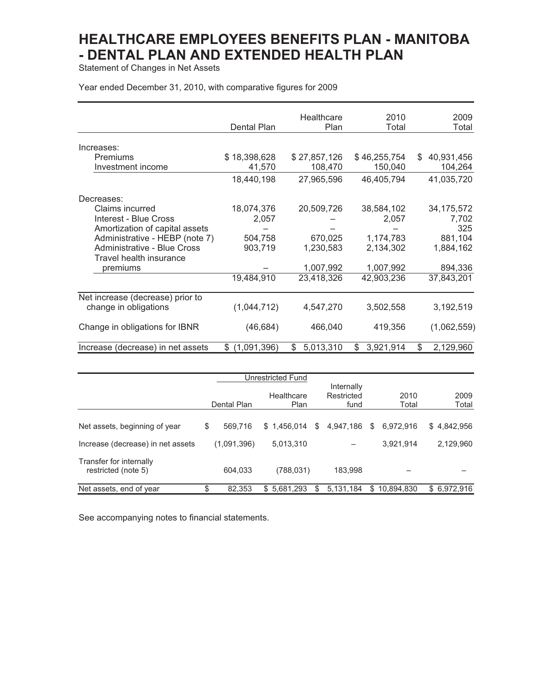Statement of Changes in Net Assets

Year ended December 31, 2010, with comparative figures for 2009

|                                    |                    | Healthcare      | 2010            | 2009             |
|------------------------------------|--------------------|-----------------|-----------------|------------------|
|                                    | <b>Dental Plan</b> | Plan            | Total           | Total            |
| Increases:                         |                    |                 |                 |                  |
| <b>Premiums</b>                    | \$18,398,628       | \$27,857,126    | \$46,255,754    | 40,931,456<br>\$ |
|                                    |                    |                 |                 |                  |
| Investment income                  | 41,570             | 108,470         | 150,040         | 104,264          |
|                                    | 18,440,198         | 27,965,596      | 46,405,794      | 41,035,720       |
| Decreases:                         |                    |                 |                 |                  |
| Claims incurred                    | 18,074,376         | 20,509,726      | 38,584,102      | 34, 175, 572     |
| Interest - Blue Cross              | 2,057              |                 | 2,057           | 7,702            |
| Amortization of capital assets     |                    |                 |                 | 325              |
| Administrative - HEBP (note 7)     | 504,758            | 670,025         | 1,174,783       | 881,104          |
| <b>Administrative - Blue Cross</b> | 903,719            | 1,230,583       | 2,134,302       | 1,884,162        |
| Travel health insurance            |                    |                 |                 |                  |
| premiums                           |                    | 1,007,992       | 1,007,992       | 894,336          |
|                                    | 19,484,910         | 23,418,326      | 42,903,236      | 37,843,201       |
|                                    |                    |                 |                 |                  |
| Net increase (decrease) prior to   |                    |                 |                 |                  |
| change in obligations              | (1,044,712)        | 4,547,270       | 3,502,558       | 3,192,519        |
| Change in obligations for IBNR     | (46, 684)          | 466,040         | 419,356         | (1,062,559)      |
|                                    |                    |                 |                 |                  |
| Increase (decrease) in net assets  | (1,091,396)<br>\$  | \$<br>5,013,310 | 3,921,914<br>\$ | \$<br>2,129,960  |

| Unrestricted Fund                              |    |             |                    |    |                                  |    |               |               |
|------------------------------------------------|----|-------------|--------------------|----|----------------------------------|----|---------------|---------------|
|                                                |    | Dental Plan | Healthcare<br>Plan |    | Internally<br>Restricted<br>fund |    | 2010<br>Total | 2009<br>Total |
| Net assets, beginning of year                  | \$ | 569.716     | \$1.456.014        | S. | 4,947,186                        | S  | 6,972,916     | \$4,842,956   |
| Increase (decrease) in net assets              |    | (1,091,396) | 5,013,310          |    |                                  |    | 3,921,914     | 2,129,960     |
| Transfer for internally<br>restricted (note 5) |    | 604,033     | (788,031)          |    | 183,998                          |    |               |               |
| Net assets, end of year                        | \$ | 82,353      | 5,681,293<br>S     | S. | 5,131,184                        | \$ | 10.894.830    | \$6,972,916   |

See accompanying notes to financial statements.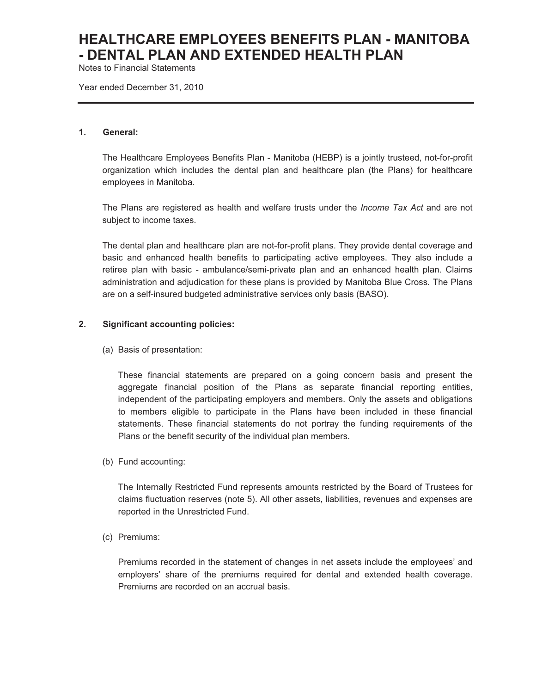Notes to Financial Statements

Year ended December 31, 2010

#### **1. General:**

The Healthcare Employees Benefits Plan - Manitoba (HEBP) is a jointly trusteed, not-for-profit organization which includes the dental plan and healthcare plan (the Plans) for healthcare employees in Manitoba.

The Plans are registered as health and welfare trusts under the *Income Tax Act* and are not subject to income taxes*.*

The dental plan and healthcare plan are not-for-profit plans. They provide dental coverage and basic and enhanced health benefits to participating active employees. They also include a retiree plan with basic - ambulance/semi-private plan and an enhanced health plan. Claims administration and adjudication for these plans is provided by Manitoba Blue Cross. The Plans are on a self-insured budgeted administrative services only basis (BASO).

#### **2. Significant accounting policies:**

(a) Basis of presentation:

These financial statements are prepared on a going concern basis and present the aggregate financial position of the Plans as separate financial reporting entities, independent of the participating employers and members. Only the assets and obligations to members eligible to participate in the Plans have been included in these financial statements. These financial statements do not portray the funding requirements of the Plans or the benefit security of the individual plan members.

(b) Fund accounting:

The Internally Restricted Fund represents amounts restricted by the Board of Trustees for claims fluctuation reserves (note 5). All other assets, liabilities, revenues and expenses are reported in the Unrestricted Fund.

(c) Premiums:

Premiums recorded in the statement of changes in net assets include the employees' and employers' share of the premiums required for dental and extended health coverage. Premiums are recorded on an accrual basis.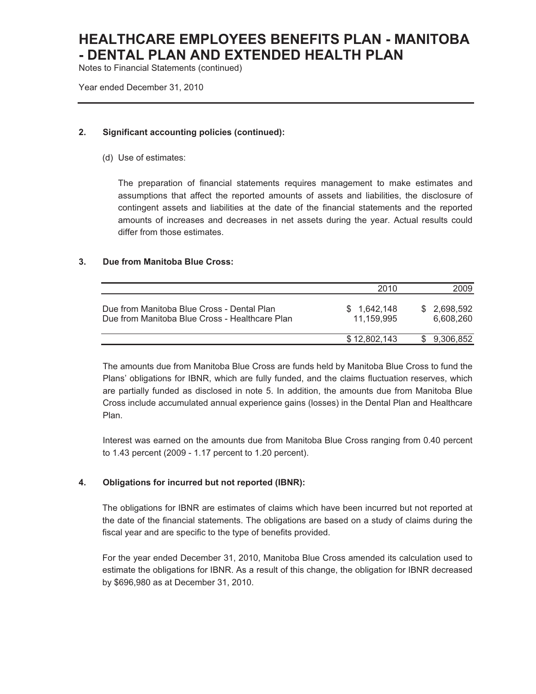Notes to Financial Statements (continued)

Year ended December 31, 2010

### **2. Significant accounting policies (continued):**

(d) Use of estimates:

The preparation of financial statements requires management to make estimates and assumptions that affect the reported amounts of assets and liabilities, the disclosure of contingent assets and liabilities at the date of the financial statements and the reported amounts of increases and decreases in net assets during the year. Actual results could differ from those estimates.

### **3. Due from Manitoba Blue Cross:**

|                                                                                              | 2010                      | 2009                         |
|----------------------------------------------------------------------------------------------|---------------------------|------------------------------|
| Due from Manitoba Blue Cross - Dental Plan<br>Due from Manitoba Blue Cross - Healthcare Plan | \$1.642.148<br>11.159.995 | 2.698.592<br>S.<br>6.608.260 |
|                                                                                              | \$12,802,143              | \$9,306,852                  |

The amounts due from Manitoba Blue Cross are funds held by Manitoba Blue Cross to fund the Plans' obligations for IBNR, which are fully funded, and the claims fluctuation reserves, which are partially funded as disclosed in note 5. In addition, the amounts due from Manitoba Blue Cross include accumulated annual experience gains (losses) in the Dental Plan and Healthcare Plan.

Interest was earned on the amounts due from Manitoba Blue Cross ranging from 0.40 percent to 1.43 percent (2009 - 1.17 percent to 1.20 percent).

### **4. Obligations for incurred but not reported (IBNR):**

The obligations for IBNR are estimates of claims which have been incurred but not reported at the date of the financial statements. The obligations are based on a study of claims during the fiscal year and are specific to the type of benefits provided.

For the year ended December 31, 2010, Manitoba Blue Cross amended its calculation used to estimate the obligations for IBNR. As a result of this change, the obligation for IBNR decreased by \$696,980 as at December 31, 2010.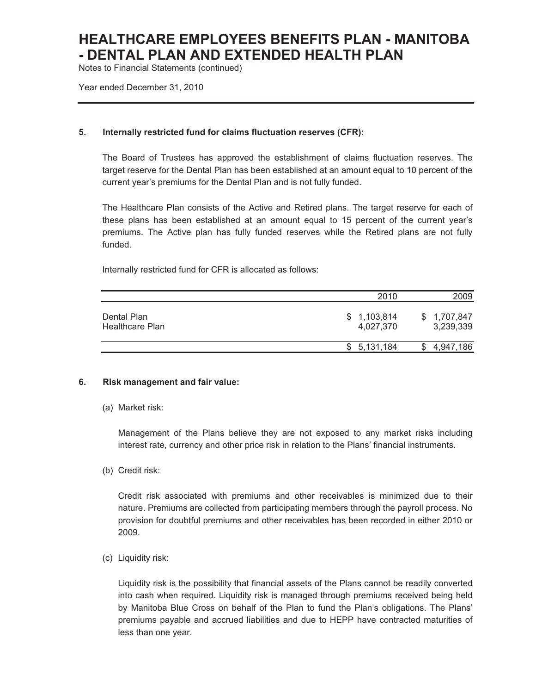Notes to Financial Statements (continued)

Year ended December 31, 2010

### **5. Internally restricted fund for claims fluctuation reserves (CFR):**

The Board of Trustees has approved the establishment of claims fluctuation reserves. The target reserve for the Dental Plan has been established at an amount equal to 10 percent of the current year's premiums for the Dental Plan and is not fully funded.

The Healthcare Plan consists of the Active and Retired plans. The target reserve for each of these plans has been established at an amount equal to 15 percent of the current year's premiums. The Active plan has fully funded reserves while the Retired plans are not fully funded.

Internally restricted fund for CFR is allocated as follows:

| 2010                     | 2009                     |
|--------------------------|--------------------------|
| \$1,103,814<br>4.027.370 | \$1,707,847<br>3,239,339 |
| \$5,131,184              | 4,947,186                |
|                          |                          |

#### **6. Risk management and fair value:**

(a) Market risk:

Management of the Plans believe they are not exposed to any market risks including interest rate, currency and other price risk in relation to the Plans' financial instruments.

(b) Credit risk:

Credit risk associated with premiums and other receivables is minimized due to their nature. Premiums are collected from participating members through the payroll process. No provision for doubtful premiums and other receivables has been recorded in either 2010 or 2009.

(c) Liquidity risk:

Liquidity risk is the possibility that financial assets of the Plans cannot be readily converted into cash when required. Liquidity risk is managed through premiums received being held by Manitoba Blue Cross on behalf of the Plan to fund the Plan's obligations. The Plans' premiums payable and accrued liabilities and due to HEPP have contracted maturities of less than one year.